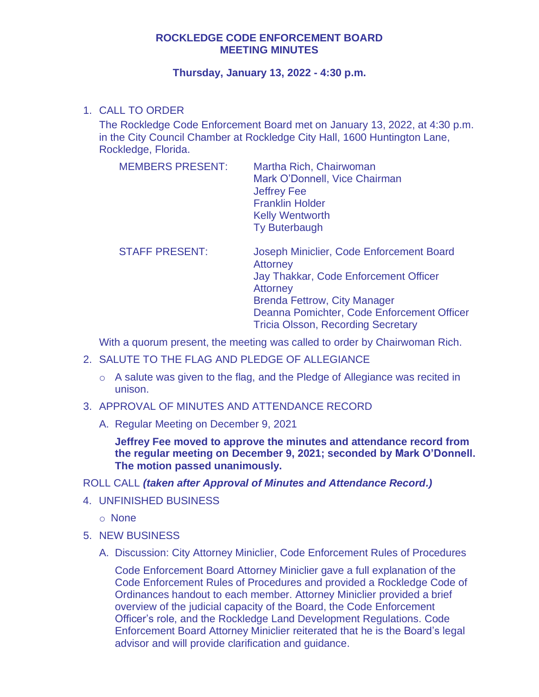## **ROCKLEDGE CODE ENFORCEMENT BOARD MEETING MINUTES**

## **Thursday, January 13, 2022 - 4:30 p.m.**

## 1. CALL TO ORDER

The Rockledge Code Enforcement Board met on January 13, 2022, at 4:30 p.m. in the City Council Chamber at Rockledge City Hall, 1600 Huntington Lane, Rockledge, Florida.

| <b>MEMBERS PRESENT:</b> | Martha Rich, Chairwoman       |
|-------------------------|-------------------------------|
|                         | Mark O'Donnell, Vice Chairman |
|                         | <b>Jeffrey Fee</b>            |
|                         | <b>Franklin Holder</b>        |
|                         | <b>Kelly Wentworth</b>        |
|                         | <b>Ty Buterbaugh</b>          |
|                         |                               |

STAFF PRESENT: Joseph Miniclier, Code Enforcement Board **Attorney** Jay Thakkar, Code Enforcement Officer **Attorney** Brenda Fettrow, City Manager Deanna Pomichter, Code Enforcement Officer Tricia Olsson, Recording Secretary

With a quorum present, the meeting was called to order by Chairwoman Rich.

- 2. SALUTE TO THE FLAG AND PLEDGE OF ALLEGIANCE
	- o A salute was given to the flag, and the Pledge of Allegiance was recited in unison.
- 3. APPROVAL OF MINUTES AND ATTENDANCE RECORD
	- A. Regular Meeting on December 9, 2021

**Jeffrey Fee moved to approve the minutes and attendance record from the regular meeting on December 9, 2021; seconded by Mark O'Donnell. The motion passed unanimously.** 

## ROLL CALL *(taken after Approval of Minutes and Attendance Record.)*

- 4. UNFINISHED BUSINESS
	- o None
- 5. NEW BUSINESS
	- A. Discussion: City Attorney Miniclier, Code Enforcement Rules of Procedures

Code Enforcement Board Attorney Miniclier gave a full explanation of the Code Enforcement Rules of Procedures and provided a Rockledge Code of Ordinances handout to each member. Attorney Miniclier provided a brief overview of the judicial capacity of the Board, the Code Enforcement Officer's role, and the Rockledge Land Development Regulations. Code Enforcement Board Attorney Miniclier reiterated that he is the Board's legal advisor and will provide clarification and guidance.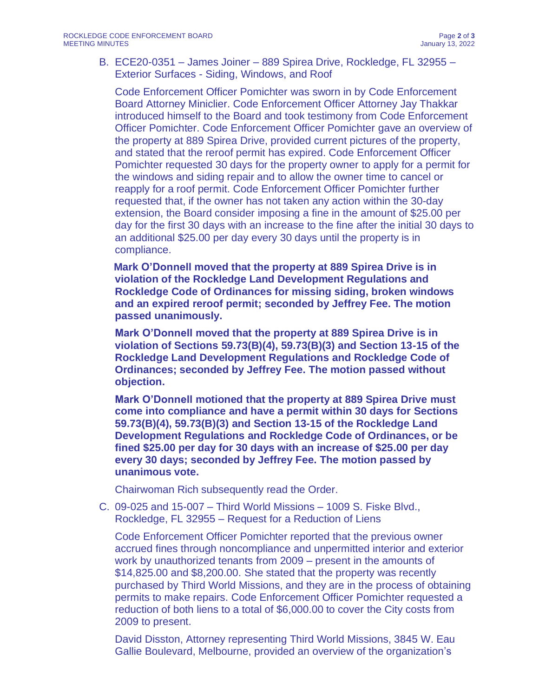B. ECE20-0351 – James Joiner – 889 Spirea Drive, Rockledge, FL 32955 – Exterior Surfaces - Siding, Windows, and Roof

Code Enforcement Officer Pomichter was sworn in by Code Enforcement Board Attorney Miniclier. Code Enforcement Officer Attorney Jay Thakkar introduced himself to the Board and took testimony from Code Enforcement Officer Pomichter. Code Enforcement Officer Pomichter gave an overview of the property at 889 Spirea Drive, provided current pictures of the property, and stated that the reroof permit has expired. Code Enforcement Officer Pomichter requested 30 days for the property owner to apply for a permit for the windows and siding repair and to allow the owner time to cancel or reapply for a roof permit. Code Enforcement Officer Pomichter further requested that, if the owner has not taken any action within the 30-day extension, the Board consider imposing a fine in the amount of \$25.00 per day for the first 30 days with an increase to the fine after the initial 30 days to an additional \$25.00 per day every 30 days until the property is in compliance.

**Mark O'Donnell moved that the property at 889 Spirea Drive is in violation of the Rockledge Land Development Regulations and Rockledge Code of Ordinances for missing siding, broken windows and an expired reroof permit; seconded by Jeffrey Fee. The motion passed unanimously.**

**Mark O'Donnell moved that the property at 889 Spirea Drive is in violation of Sections 59.73(B)(4), 59.73(B)(3) and Section 13-15 of the Rockledge Land Development Regulations and Rockledge Code of Ordinances; seconded by Jeffrey Fee. The motion passed without objection.**

**Mark O'Donnell motioned that the property at 889 Spirea Drive must come into compliance and have a permit within 30 days for Sections 59.73(B)(4), 59.73(B)(3) and Section 13-15 of the Rockledge Land Development Regulations and Rockledge Code of Ordinances, or be fined \$25.00 per day for 30 days with an increase of \$25.00 per day every 30 days; seconded by Jeffrey Fee. The motion passed by unanimous vote.**

Chairwoman Rich subsequently read the Order.

C. 09-025 and 15-007 – Third World Missions – 1009 S. Fiske Blvd., Rockledge, FL 32955 – Request for a Reduction of Liens

Code Enforcement Officer Pomichter reported that the previous owner accrued fines through noncompliance and unpermitted interior and exterior work by unauthorized tenants from 2009 – present in the amounts of \$14,825.00 and \$8,200.00. She stated that the property was recently purchased by Third World Missions, and they are in the process of obtaining permits to make repairs. Code Enforcement Officer Pomichter requested a reduction of both liens to a total of \$6,000.00 to cover the City costs from 2009 to present.

David Disston, Attorney representing Third World Missions, 3845 W. Eau Gallie Boulevard, Melbourne, provided an overview of the organization's